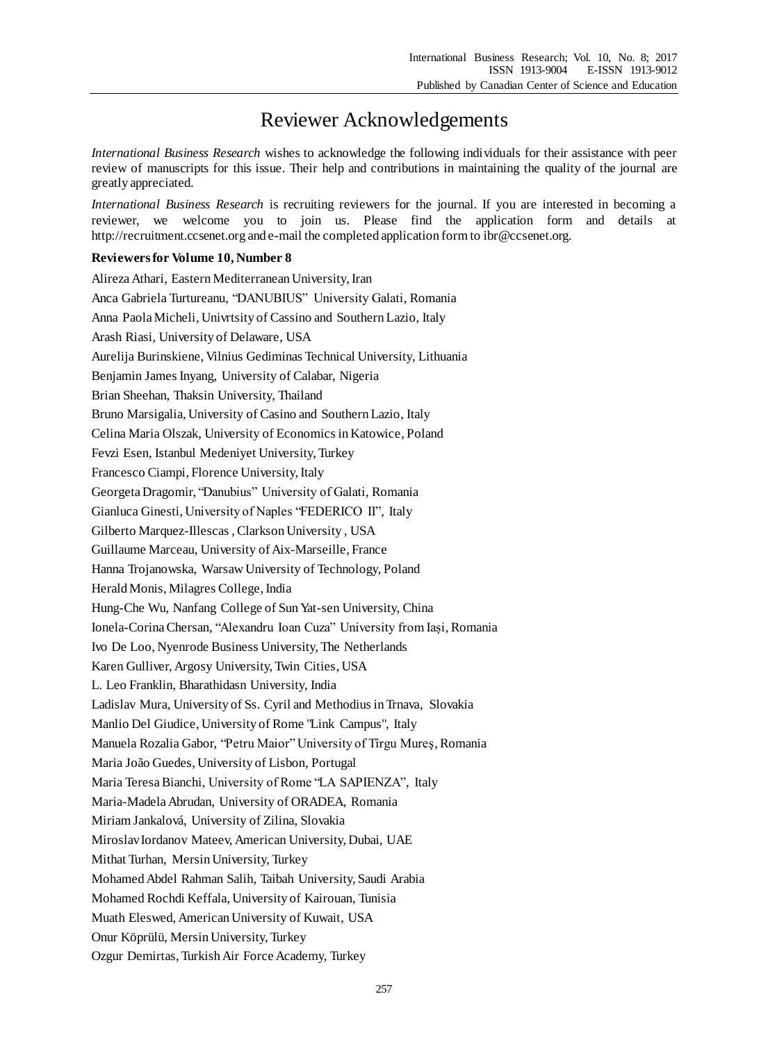## Reviewer Acknowledgements

*International Business Research* wishes to acknowledge the following individuals for their assistance with peer review of manuscripts for this issue. Their help and contributions in maintaining the quality of the journal are greatly appreciated.

*International Business Research* is recruiting reviewers for the journal. If you are interested in becoming a reviewer, we welcome you to join us. Please find the application form and details at http://recruitment.ccsenet.org and e-mail the completed application form to ibr@ccsenet.org.

## **Reviewers for Volume 10, Number 8**

Alireza Athari, Eastern Mediterranean University, Iran Anca Gabriela Turtureanu, "DANUBIUS" University Galati, Romania Anna Paola Micheli, Univrtsity of Cassino and Southern Lazio, Italy Arash Riasi, University of Delaware, USA Aurelija Burinskiene, Vilnius Gediminas Technical University, Lithuania Benjamin James Inyang, University of Calabar, Nigeria Brian Sheehan, Thaksin University, Thailand Bruno Marsigalia, University of Casino and Southern Lazio, Italy Celina Maria Olszak, University of Economics in Katowice, Poland Fevzi Esen, Istanbul Medeniyet University, Turkey Francesco Ciampi, Florence University, Italy Georgeta Dragomir, "Danubius" University of Galati, Romania Gianluca Ginesti, University of Naples "FEDERICO II", Italy Gilberto Marquez-Illescas , Clarkson University , USA Guillaume Marceau, University of Aix-Marseille, France Hanna Trojanowska, Warsaw University of Technology, Poland Herald Monis, Milagres College, India Hung-Che Wu, Nanfang College of Sun Yat-sen University, China Ionela-Corina Chersan, "Alexandru Ioan Cuza" University from Iași, Romania Ivo De Loo, Nyenrode Business University, The Netherlands Karen Gulliver, Argosy University, Twin Cities, USA L. Leo Franklin, Bharathidasn University, India Ladislav Mura, University of Ss. Cyril and Methodius in Trnava, Slovakia Manlio Del Giudice, University of Rome "Link Campus", Italy Manuela Rozalia Gabor, "Petru Maior" University of Tîrgu Mureş, Romania Maria João Guedes, University of Lisbon, Portugal Maria Teresa Bianchi, University of Rome "LA SAPIENZA", Italy Maria-Madela Abrudan, University of ORADEA, Romania Miriam Jankalová, University of Zilina, Slovakia Miroslav Iordanov Mateev, American University, Dubai, UAE Mithat Turhan, Mersin University, Turkey Mohamed Abdel Rahman Salih, Taibah University, Saudi Arabia Mohamed Rochdi Keffala, University of Kairouan, Tunisia Muath Eleswed, American University of Kuwait, USA Onur Köprülü, Mersin University, Turkey Ozgur Demirtas, Turkish Air Force Academy, Turkey